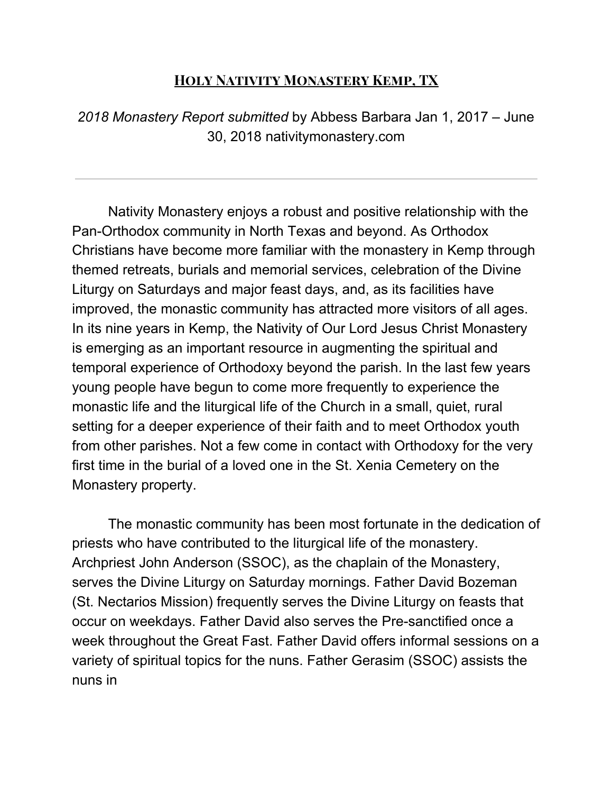## **Holy Nativity Monastery Kemp, TX**

*2018 Monastery Report submitted* by Abbess Barbara Jan 1, 2017 – June 30, 2018 nativitymonastery.com

Nativity Monastery enjoys a robust and positive relationship with the Pan-Orthodox community in North Texas and beyond. As Orthodox Christians have become more familiar with the monastery in Kemp through themed retreats, burials and memorial services, celebration of the Divine Liturgy on Saturdays and major feast days, and, as its facilities have improved, the monastic community has attracted more visitors of all ages. In its nine years in Kemp, the Nativity of Our Lord Jesus Christ Monastery is emerging as an important resource in augmenting the spiritual and temporal experience of Orthodoxy beyond the parish. In the last few years young people have begun to come more frequently to experience the monastic life and the liturgical life of the Church in a small, quiet, rural setting for a deeper experience of their faith and to meet Orthodox youth from other parishes. Not a few come in contact with Orthodoxy for the very first time in the burial of a loved one in the St. Xenia Cemetery on the Monastery property.

The monastic community has been most fortunate in the dedication of priests who have contributed to the liturgical life of the monastery. Archpriest John Anderson (SSOC), as the chaplain of the Monastery, serves the Divine Liturgy on Saturday mornings. Father David Bozeman (St. Nectarios Mission) frequently serves the Divine Liturgy on feasts that occur on weekdays. Father David also serves the Pre-sanctified once a week throughout the Great Fast. Father David offers informal sessions on a variety of spiritual topics for the nuns. Father Gerasim (SSOC) assists the nuns in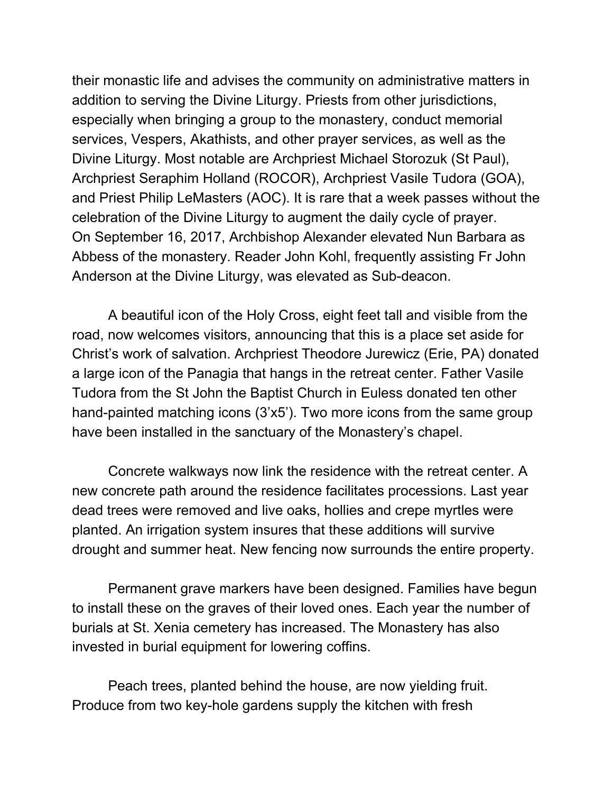their monastic life and advises the community on administrative matters in addition to serving the Divine Liturgy. Priests from other jurisdictions, especially when bringing a group to the monastery, conduct memorial services, Vespers, Akathists, and other prayer services, as well as the Divine Liturgy. Most notable are Archpriest Michael Storozuk (St Paul), Archpriest Seraphim Holland (ROCOR), Archpriest Vasile Tudora (GOA), and Priest Philip LeMasters (AOC). It is rare that a week passes without the celebration of the Divine Liturgy to augment the daily cycle of prayer. On September 16, 2017, Archbishop Alexander elevated Nun Barbara as Abbess of the monastery. Reader John Kohl, frequently assisting Fr John Anderson at the Divine Liturgy, was elevated as Sub-deacon.

A beautiful icon of the Holy Cross, eight feet tall and visible from the road, now welcomes visitors, announcing that this is a place set aside for Christ's work of salvation. Archpriest Theodore Jurewicz (Erie, PA) donated a large icon of the Panagia that hangs in the retreat center. Father Vasile Tudora from the St John the Baptist Church in Euless donated ten other hand-painted matching icons (3'x5'). Two more icons from the same group have been installed in the sanctuary of the Monastery's chapel.

Concrete walkways now link the residence with the retreat center. A new concrete path around the residence facilitates processions. Last year dead trees were removed and live oaks, hollies and crepe myrtles were planted. An irrigation system insures that these additions will survive drought and summer heat. New fencing now surrounds the entire property.

Permanent grave markers have been designed. Families have begun to install these on the graves of their loved ones. Each year the number of burials at St. Xenia cemetery has increased. The Monastery has also invested in burial equipment for lowering coffins.

Peach trees, planted behind the house, are now yielding fruit. Produce from two key-hole gardens supply the kitchen with fresh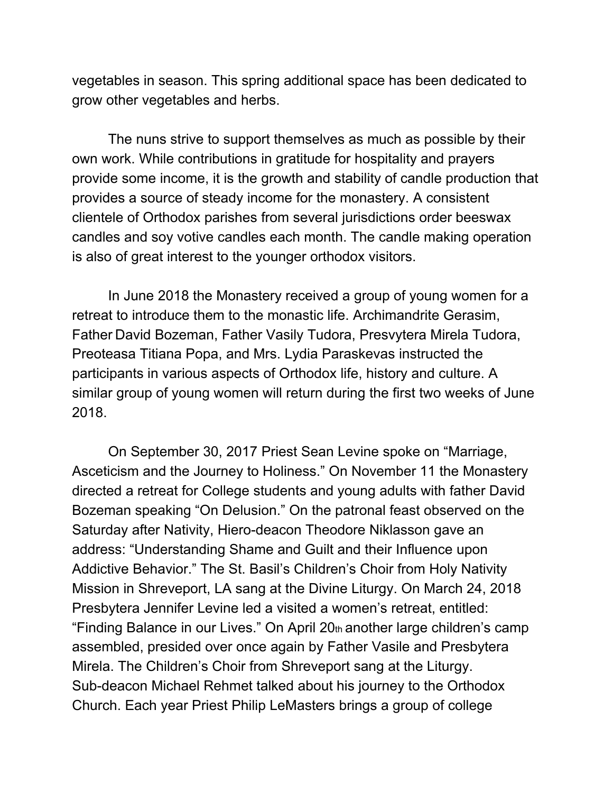vegetables in season. This spring additional space has been dedicated to grow other vegetables and herbs.

The nuns strive to support themselves as much as possible by their own work. While contributions in gratitude for hospitality and prayers provide some income, it is the growth and stability of candle production that provides a source of steady income for the monastery. A consistent clientele of Orthodox parishes from several jurisdictions order beeswax candles and soy votive candles each month. The candle making operation is also of great interest to the younger orthodox visitors.

In June 2018 the Monastery received a group of young women for a retreat to introduce them to the monastic life. Archimandrite Gerasim, Father David Bozeman, Father Vasily Tudora, Presvytera Mirela Tudora, Preoteasa Titiana Popa, and Mrs. Lydia Paraskevas instructed the participants in various aspects of Orthodox life, history and culture. A similar group of young women will return during the first two weeks of June 2018.

On September 30, 2017 Priest Sean Levine spoke on "Marriage, Asceticism and the Journey to Holiness." On November 11 the Monastery directed a retreat for College students and young adults with father David Bozeman speaking "On Delusion." On the patronal feast observed on the Saturday after Nativity, Hiero-deacon Theodore Niklasson gave an address: "Understanding Shame and Guilt and their Influence upon Addictive Behavior." The St. Basil's Children's Choir from Holy Nativity Mission in Shreveport, LA sang at the Divine Liturgy. On March 24, 2018 Presbytera Jennifer Levine led a visited a women's retreat, entitled: "Finding Balance in our Lives." On April 20th another large children's camp assembled, presided over once again by Father Vasile and Presbytera Mirela. The Children's Choir from Shreveport sang at the Liturgy. Sub-deacon Michael Rehmet talked about his journey to the Orthodox Church. Each year Priest Philip LeMasters brings a group of college